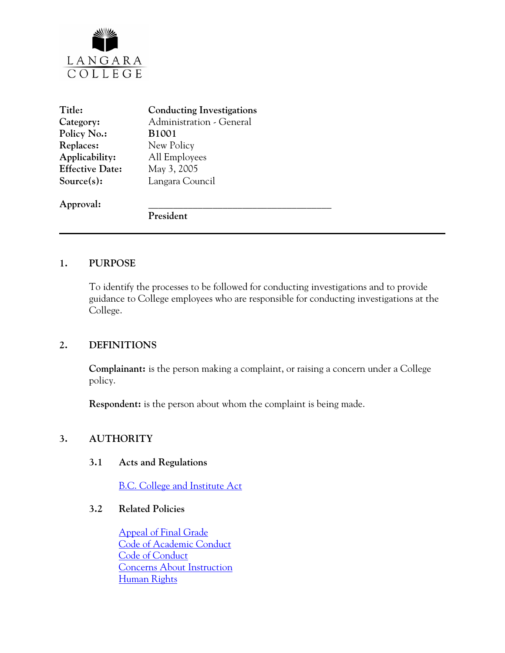

| Title:                 | <b>Conducting Investigations</b> |
|------------------------|----------------------------------|
| Category:              | Administration - General         |
| Policy No.:            | <b>B1001</b>                     |
| Replaces:              | New Policy                       |
| Applicability:         | All Employees                    |
| <b>Effective Date:</b> | May 3, 2005                      |
| Source(s):             | Langara Council                  |
| Approval:              |                                  |
|                        | President                        |

#### **1. PURPOSE**

To identify the processes to be followed for conducting investigations and to provide guidance to College employees who are responsible for conducting investigations at the College.

## **2. DEFINITIONS**

**Complainant:** is the person making a complaint, or raising a concern under a College policy.

**Respondent:** is the person about whom the complaint is being made.

#### **3. AUTHORITY**

#### **3.1 Acts and Regulations**

[B.C. College and Institute Act](http://www.qp.gov.bc.ca/statreg/stat/C/96052_01.htm)

## **3.2 Related Policies**

[Appeal of Final Grade](http://www.langara.bc.ca/policies/E2006.pdf) [Code of Academic Conduct](http://www.langara.bc.ca/policies/F1004.pdf) [Code of Conduct](http://www.langara.bc.ca/policies/B3002.pdf) [Concerns About Instruction](http://www.langara.bc.ca/policies/F1002.pdf) [Human Rights](http://www.langara.bc.ca/policies/B3008.pdf)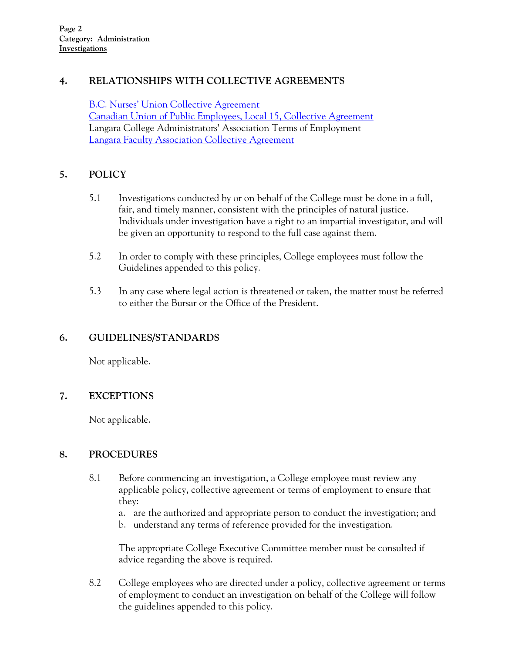# **4. RELATIONSHIPS WITH COLLECTIVE AGREEMENTS**

[B.C. Nurses' Union Collective Agreement](http://www.langara.bc.ca/hr/nurses.html) [Canadian Union of Public Employees, Local 15, Collective Agreement](http://www.langara.bc.ca/hr/01-CA-CUPE-final-1.pdf) Langara College Administrators' Association Terms of Employment [Langara Faculty Association Collective Agreement](http://www.langara.bc.ca/hr/LFA.pdf)

# **5. POLICY**

- 5.1 Investigations conducted by or on behalf of the College must be done in a full, fair, and timely manner, consistent with the principles of natural justice. Individuals under investigation have a right to an impartial investigator, and will be given an opportunity to respond to the full case against them.
- 5.2 In order to comply with these principles, College employees must follow the Guidelines appended to this policy.
- 5.3 In any case where legal action is threatened or taken, the matter must be referred to either the Bursar or the Office of the President.

## **6. GUIDELINES/STANDARDS**

Not applicable.

## **7. EXCEPTIONS**

Not applicable.

## **8. PROCEDURES**

- 8.1 Before commencing an investigation, a College employee must review any applicable policy, collective agreement or terms of employment to ensure that they:
	- a. are the authorized and appropriate person to conduct the investigation; and
	- b. understand any terms of reference provided for the investigation.

The appropriate College Executive Committee member must be consulted if advice regarding the above is required.

8.2 College employees who are directed under a policy, collective agreement or terms of employment to conduct an investigation on behalf of the College will follow the guidelines appended to this policy.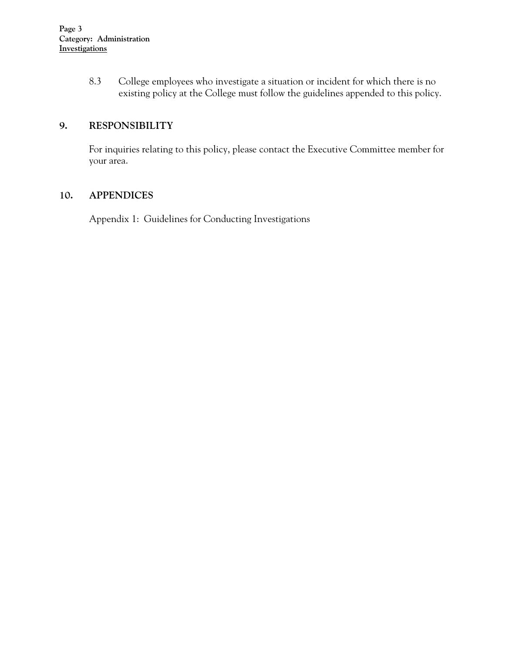8.3 College employees who investigate a situation or incident for which there is no existing policy at the College must follow the guidelines appended to this policy.

# **9. RESPONSIBILITY**

For inquiries relating to this policy, please contact the Executive Committee member for your area.

# **10. APPENDICES**

Appendix 1: Guidelines for Conducting Investigations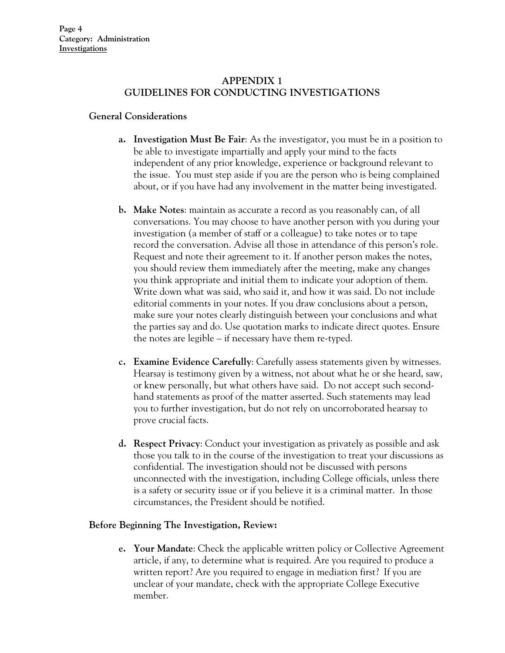## **APPENDIX 1 GUIDELINES FOR CONDUCTING INVESTIGATIONS**

#### **General Considerations**

- **a. Investigation Must Be Fair**: As the investigator, you must be in a position to be able to investigate impartially and apply your mind to the facts independent of any prior knowledge, experience or background relevant to the issue. You must step aside if you are the person who is being complained about, or if you have had any involvement in the matter being investigated.
- **b. Make Notes**: maintain as accurate a record as you reasonably can, of all conversations. You may choose to have another person with you during your investigation (a member of staff or a colleague) to take notes or to tape record the conversation. Advise all those in attendance of this person's role. Request and note their agreement to it. If another person makes the notes, you should review them immediately after the meeting, make any changes you think appropriate and initial them to indicate your adoption of them. Write down what was said, who said it, and how it was said. Do not include editorial comments in your notes. If you draw conclusions about a person, make sure your notes clearly distinguish between your conclusions and what the parties say and do. Use quotation marks to indicate direct quotes. Ensure the notes are legible – if necessary have them re-typed.
- **c. Examine Evidence Carefully**: Carefully assess statements given by witnesses. Hearsay is testimony given by a witness, not about what he or she heard, saw, or knew personally, but what others have said. Do not accept such secondhand statements as proof of the matter asserted. Such statements may lead you to further investigation, but do not rely on uncorroborated hearsay to prove crucial facts.
- **d. Respect Privacy**: Conduct your investigation as privately as possible and ask those you talk to in the course of the investigation to treat your discussions as confidential. The investigation should not be discussed with persons unconnected with the investigation, including College officials, unless there is a safety or security issue or if you believe it is a criminal matter. In those circumstances, the President should be notified.

#### **Before Beginning The Investigation, Review:**

**e. Your Mandate**: Check the applicable written policy or Collective Agreement article, if any, to determine what is required. Are you required to produce a written report? Are you required to engage in mediation first? If you are unclear of your mandate, check with the appropriate College Executive member.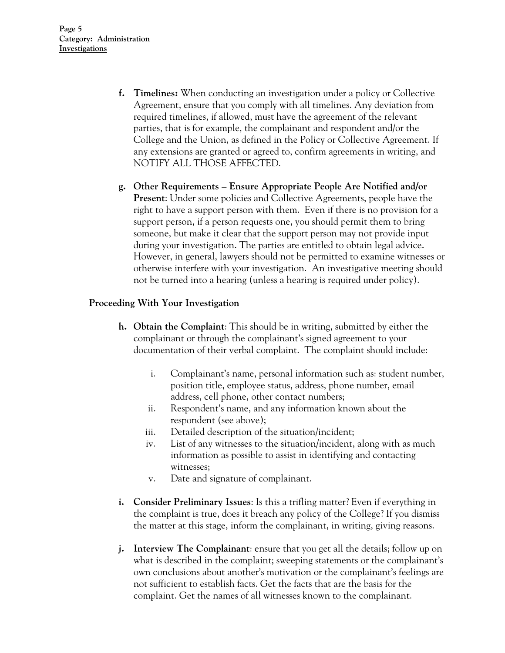- **f. Timelines:** When conducting an investigation under a policy or Collective Agreement, ensure that you comply with all timelines. Any deviation from required timelines, if allowed, must have the agreement of the relevant parties, that is for example, the complainant and respondent and/or the College and the Union, as defined in the Policy or Collective Agreement. If any extensions are granted or agreed to, confirm agreements in writing, and NOTIFY ALL THOSE AFFECTED.
- **g. Other Requirements Ensure Appropriate People Are Notified and/or Present**: Under some policies and Collective Agreements, people have the right to have a support person with them. Even if there is no provision for a support person, if a person requests one, you should permit them to bring someone, but make it clear that the support person may not provide input during your investigation. The parties are entitled to obtain legal advice. However, in general, lawyers should not be permitted to examine witnesses or otherwise interfere with your investigation. An investigative meeting should not be turned into a hearing (unless a hearing is required under policy).

#### **Proceeding With Your Investigation**

- **h. Obtain the Complaint**: This should be in writing, submitted by either the complainant or through the complainant's signed agreement to your documentation of their verbal complaint. The complaint should include:
	- i. Complainant's name, personal information such as: student number, position title, employee status, address, phone number, email address, cell phone, other contact numbers;
	- ii. Respondent's name, and any information known about the respondent (see above);
	- iii. Detailed description of the situation/incident;
	- iv. List of any witnesses to the situation/incident, along with as much information as possible to assist in identifying and contacting witnesses;
	- v. Date and signature of complainant.
- **i. Consider Preliminary Issues**: Is this a trifling matter? Even if everything in the complaint is true, does it breach any policy of the College? If you dismiss the matter at this stage, inform the complainant, in writing, giving reasons.
- **j. Interview The Complainant**: ensure that you get all the details; follow up on what is described in the complaint; sweeping statements or the complainant's own conclusions about another's motivation or the complainant's feelings are not sufficient to establish facts. Get the facts that are the basis for the complaint. Get the names of all witnesses known to the complainant.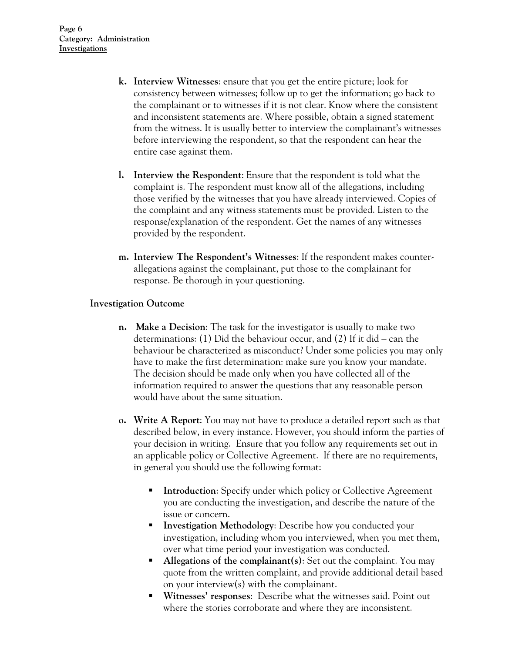- **k. Interview Witnesses**: ensure that you get the entire picture; look for consistency between witnesses; follow up to get the information; go back to the complainant or to witnesses if it is not clear. Know where the consistent and inconsistent statements are. Where possible, obtain a signed statement from the witness. It is usually better to interview the complainant's witnesses before interviewing the respondent, so that the respondent can hear the entire case against them.
- **l. Interview the Respondent**: Ensure that the respondent is told what the complaint is. The respondent must know all of the allegations, including those verified by the witnesses that you have already interviewed. Copies of the complaint and any witness statements must be provided. Listen to the response/explanation of the respondent. Get the names of any witnesses provided by the respondent.
- **m. Interview The Respondent's Witnesses**: If the respondent makes counterallegations against the complainant, put those to the complainant for response. Be thorough in your questioning.

#### **Investigation Outcome**

- **n. Make a Decision**: The task for the investigator is usually to make two determinations: (1) Did the behaviour occur, and (2) If it did – can the behaviour be characterized as misconduct? Under some policies you may only have to make the first determination: make sure you know your mandate. The decision should be made only when you have collected all of the information required to answer the questions that any reasonable person would have about the same situation.
- **o. Write A Report**: You may not have to produce a detailed report such as that described below, in every instance. However, you should inform the parties of your decision in writing. Ensure that you follow any requirements set out in an applicable policy or Collective Agreement. If there are no requirements, in general you should use the following format:
	- **Introduction:** Specify under which policy or Collective Agreement you are conducting the investigation, and describe the nature of the issue or concern.
	- **Investigation Methodology:** Describe how you conducted your investigation, including whom you interviewed, when you met them, over what time period your investigation was conducted.
	- **Allegations of the complainant(s):** Set out the complaint. You may quote from the written complaint, and provide additional detail based on your interview(s) with the complainant.
	- **Witnesses' responses**: Describe what the witnesses said. Point out where the stories corroborate and where they are inconsistent.